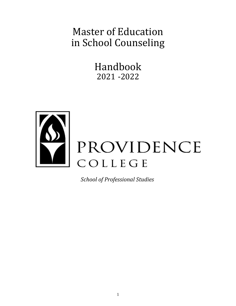# Master of Education in School Counseling

Handbook 2021 -2022



*School of Professional Studies*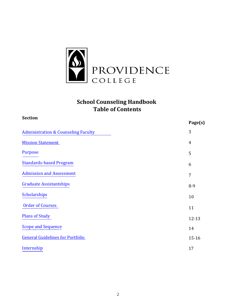

## **School Counseling Handbook Table of Contents**

| 3<br><b>Administration &amp; Counseling Faculty</b><br><b>Mission Statement</b><br>$\overline{4}$<br><b>Purpose</b><br>5<br><b>Standards-based Program</b><br>6<br><b>Admission and Assessment</b><br>7<br><b>Graduate Assistantships</b><br>$8-9$<br><b>Scholarships</b><br>10<br><b>Order of Courses</b><br>11<br><b>Plans of Study</b><br>12-13<br><b>Scope and Sequence</b><br>14<br><b>General Guidelines for Portfolio</b><br>$15 - 16$<br>Internship<br>17 | <b>Section</b> |         |
|-------------------------------------------------------------------------------------------------------------------------------------------------------------------------------------------------------------------------------------------------------------------------------------------------------------------------------------------------------------------------------------------------------------------------------------------------------------------|----------------|---------|
|                                                                                                                                                                                                                                                                                                                                                                                                                                                                   |                | Page(s) |
|                                                                                                                                                                                                                                                                                                                                                                                                                                                                   |                |         |
|                                                                                                                                                                                                                                                                                                                                                                                                                                                                   |                |         |
|                                                                                                                                                                                                                                                                                                                                                                                                                                                                   |                |         |
|                                                                                                                                                                                                                                                                                                                                                                                                                                                                   |                |         |
|                                                                                                                                                                                                                                                                                                                                                                                                                                                                   |                |         |
|                                                                                                                                                                                                                                                                                                                                                                                                                                                                   |                |         |
|                                                                                                                                                                                                                                                                                                                                                                                                                                                                   |                |         |
|                                                                                                                                                                                                                                                                                                                                                                                                                                                                   |                |         |
|                                                                                                                                                                                                                                                                                                                                                                                                                                                                   |                |         |
|                                                                                                                                                                                                                                                                                                                                                                                                                                                                   |                |         |
|                                                                                                                                                                                                                                                                                                                                                                                                                                                                   |                |         |
|                                                                                                                                                                                                                                                                                                                                                                                                                                                                   |                |         |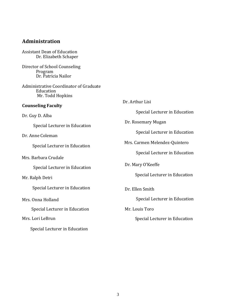## <span id="page-2-0"></span>**Administration**

| Assistant Dean of Education |  |
|-----------------------------|--|
| Dr. Elizabeth Schaper       |  |

Director of School Counseling Program Dr. Patricia Nailor

Administrative Coordinator of Graduate Education Mr. Todd Hopkins

## **Counseling Faculty**

Dr. Guy D. Alba

Special Lecturer in Education

Dr. Anne Coleman

Special Lecturer in Education

Mrs. Barbara Crudale

Special Lecturer in Education

## Mr. Ralph Detri

Special Lecturer in Education

Mrs. Onna Holland

Special Lecturer in Education

## Mrs. Lori LeBrun

Special Lecturer in Education

| Dr. Arthur Lisi                                                    |
|--------------------------------------------------------------------|
| Special Lecturer in Education                                      |
| Dr. Rosemary Mugan                                                 |
| Special Lecturer in Education                                      |
| Mrs. Carmen Melendez-Quintero                                      |
| Special Lecturer in Education                                      |
| Dr. Mary O'Keeffe                                                  |
| Special Lecturer in Education                                      |
| Dr. Ellen Smith<br>Special Lecturer in Education<br>Mr. Louis Toro |
| Special Lecturer in Education                                      |
|                                                                    |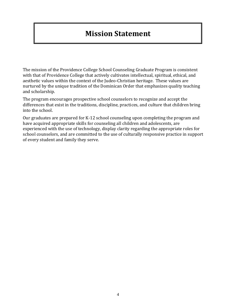## **[Mission Statement](#page-3-0)**

<span id="page-3-0"></span>The mission of the Providence College School Counseling Graduate Program is consistent with that of Providence College that actively cultivates intellectual, spiritual, ethical, and aesthetic values within the context of the Judeo-Christian heritage. These values are nurtured by the unique tradition of the Dominican Order that emphasizes quality teaching and scholarship.

The program encourages prospective school counselors to recognize and accept the differences that exist in the traditions, discipline, practices, and culture that children bring into the school.

Our graduates are prepared for K-12 school counseling upon completing the program and have acquired appropriate skills for counseling all children and adolescents, are experienced with the use of technology, display clarity regarding the appropriate roles for school counselors, and are committed to the use of culturally responsive practice in support of every student and family they serve.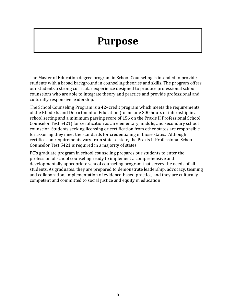# **[Purpose](#page-4-0)**

<span id="page-4-0"></span>The Master of Education degree program in School Counseling is intended to provide students with a broad background in counseling theories and skills. The program offers our students a strong curricular experience designed to produce professional school counselors who are able to integrate theory and practice and provide professional and culturally responsive leadership.

The School Counseling Program is a 42–credit program which meets the requirements of the Rhode Island Department of Education (to include 300 hours of internship in a school setting and a minimum passing score of 156 on the Praxis II Professional School Counselor Test 5421) for certification as an elementary, middle, and secondary school counselor. Students seeking licensing or certification from other states are responsible for assuring they meet the standards for credentialing in those states. Although certification requirements vary from state to state, the Praxis II Professional School Counselor Test 5421 is required in a majority of states.

PC's graduate program in school counseling prepares our students to enter the profession of school counseling ready to implement a comprehensive and developmentally appropriate school counseling program that serves the needs of all students. As graduates, they are prepared to demonstrate leadership, advocacy, teaming and collaboration, implementation of evidence-based practice, and they are culturally competent and committed to social justice and equity in education.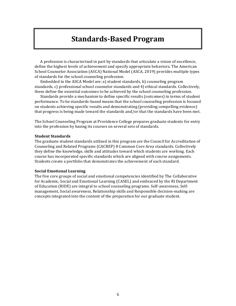## **[Standards-Based Program](#page-5-0)**

<span id="page-5-0"></span>A profession is characterized in part by standards that articulate a vision of excellence, define the highest levels of achievement and specify appropriate behaviors. The American School Counselor Association (ASCA) National Model (ASCA, 2019) provides multiple types of standards for the school counseling profession.

Embedded in the ASCA Model are: a) student standards, b) counseling program standards, c) professional school counselor standards and 4) ethical standards. Collectively, these define the essential outcomes to be achieved by the school counseling profession.

Standards provide a mechanism to define specific results (outcomes) in terms of student performance. To be standards-based means that the school counseling profession is focused on students achieving specific results and demonstrating (providing compelling evidence) that progress is being made toward the standards and/or that the standards have been met.

The School Counseling Program at Providence College prepares graduate students for entry into the profession by basing its courses on several sets of standards.

#### **Student Standards**

The graduate student standards utilized in this program are the Council for Accreditation of Counseling and Related Programs (CACREP) 8 Common Core Area standards. Collectively they define the knowledge, skills and attitudes toward which students are working. Each course has incorporated specific standards which are aligned with course assignments. Students create a portfolio that demonstrates the achievement of each standard.

#### **Social Emotional Learning**

The five core groups of social and emotional competencies identified by The Collaborative for Academic, Social and Emotional Learning (CASEL) and embraced by the RI Department of Education (RIDE) are integral to school counseling programs. Self-awareness, Selfmanagement, Social awareness, Relationship skills and Responsible decision-making are concepts integrated into the content of the preparation for our graduate student.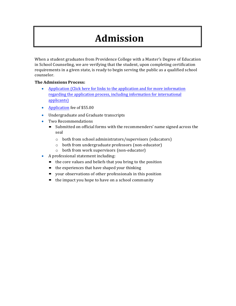# **[Admission](#page-6-0)**

<span id="page-6-0"></span>When a student graduates from Providence College with a Master's Degree of Education in School Counseling, we are verifying that the student, upon completing certification requirements in a given state, is ready to begin serving the public as a qualified school counselor.

## **The Admissions Process:**

- [Application \(Click here for links to the application and for more information](https://professional-studies.providence.edu/graduate-degrees/master-education-counseling/) [regarding the application process, including information for international](https://professional-studies.providence.edu/graduate-degrees/master-education-counseling/) [applicants\)](https://professional-studies.providence.edu/graduate-degrees/master-education-counseling/)
- [Application](https://professional-studies.providence.edu/graduate-degrees/master-education-counseling/) fee of \$55.00
- Undergraduate and Graduate transcripts
- Two Recommendations
	- Submitted on official forms with the recommenders' name signed across the seal
		- o both from school administrators/supervisors (educators)
		- o both from undergraduate professors (non-educator)
		- o both from work supervisors (non-educator)
- A professional statement including:
	- $\blacksquare$  the core values and beliefs that you bring to the position
	- the experiences that have shaped your thinking
	- your observations of other professionals in this position
	- $\blacksquare$  the impact you hope to have on a school community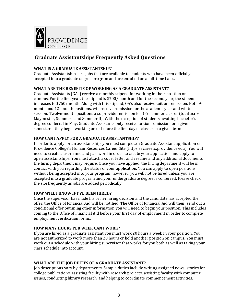

## <span id="page-7-0"></span>**Graduate Assistantships Frequently Asked Questions**

## **WHAT IS A GRADUATE ASSISTANTSHIP?**

Graduate Assistantships are jobs that are available to students who have been officially accepted into a graduate degree program and are enrolled on a full-time basis.

## **WHAT ARE THE BENEFITS OF WORKING AS A GRADUATE ASSISTANT?**

Graduate Assistants (GAs) receive a monthly stipend for working in their position on campus. For the first year, the stipend is \$700/month and for the second year, the stipend increases to \$750/month. Along with this stipend, GA's also receive tuition remission. Both 9 month and 12- month positions, will receive remission for the academic year and winter session. Twelve-month positions also provide remission for 1-2 summer classes (total across Maymester, Summer I and Summer II). With the exception of students awaiting bachelor's degree conferral in May, Graduate Assistants only receive tuition remission for a given semester if they begin working on or before the first day of classes in a given term.

## **HOW CAN I APPLY FOR A GRADUATE ASSISTANTSHIP?**

In order to apply for an assistantship, you must complete a Graduate Assistant application on Providence College's Human Resources Career Site (https://careers.providence.edu). You will need to create a username and password in order to create your application and apply to open assistantships. You must attach a cover letter and resume and any additional documents the hiring department may require. Once you have applied, the hiring department will be in contact with you regarding the status of your application. You can apply to open positions without being accepted into your program; however, you will not be hired unless you are accepted into a graduate program and your undergraduate degree is conferred. Please check the site frequently as jobs are added periodically.

## **HOW WILL I KNOW IF I'VE BEEN HIRED?**

Once the supervisor has made his or her hiring decision and the candidate has accepted the offer, the Office of Financial Aid will be notified. The Office of Financial Aid will then send out a conditional offer outlining other information you will need to begin your position. This includes coming to the Office of Financial Aid before your first day of employment in order to complete employment verification forms.

## **HOW MANY HOURS PER WEEK CAN I WORK?**

If you are hired as a graduate assistant you must work 20 hours a week in your position. You are not authorized to work more than 20 hours or hold another position on campus. You must work out a schedule with your hiring supervisor that works for you both as well as taking your class schedule into account.

## **WHAT ARE THE JOB DUTIES OF A GRADUATE ASSISTANT?**

Job descriptions vary by departments. Sample duties include writing assigned news stories for college publications, assisting faculty with research projects, assisting faculty with computer issues, conducting library research, and helping to coordinate commencement activities.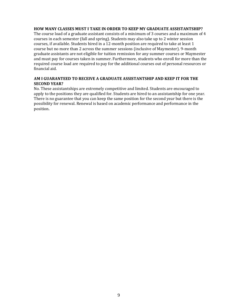### **HOW MANY CLASSES MUST I TAKE IN ORDER TO KEEP MY GRADUATE ASSISTANTSHIP?**

The course load of a graduate assistant consists of a minimum of 3 courses and a maximum of 4 courses in each semester (fall and spring). Students may also take up to 2 winter session courses, if available. Students hired in a 12-month position are required to take at least 1 course but no more than 2 across the summer sessions (inclusive of Maymester). 9-month graduate assistants are not eligible for tuition remission for any summer courses or Maymester and must pay for courses taken in summer. Furthermore, students who enroll for more than the required course load are required to pay for the additional courses out of personal resources or financial aid.

### **AM I GUARANTEED TO RECEIVE A GRADUATE ASSISTANTSHIP AND KEEP IT FOR THE SECOND YEAR?**

No. These assistantships are extremely competitive and limited. Students are encouraged to apply to the positions they are qualified for. Students are hired to an assistantship for one year. There is no guarantee that you can keep the same position for the second year but there is the possibility for renewal. Renewal is based on academic performance and performance in the position.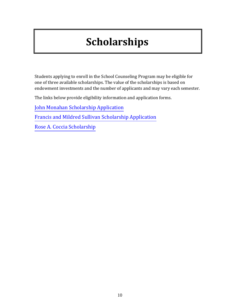# **[Scholarships](#page-9-0)**

<span id="page-9-0"></span>Students applying to enroll in the School Counseling Program may be eligible for one of three available scholarships. The value of the scholarships is based on endowment investments and the number of applicants and may vary each semester.

The links below provide eligibility information and application forms.

[John Monahan Scholarship Application](#page-19-0)

[Francis and Mildred Sullivan Scholarship Application](#page-20-0)

[Rose A. Coccia Scholarship](#page-21-0)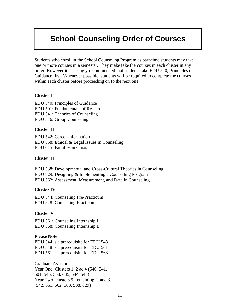## <span id="page-10-0"></span>**[School Counseling Order of Courses](#page-11-0)**

Students who enroll in the School Counseling Program as part-time students may take one or more courses in a semester. They make take the courses in each cluster in any order. However it is strongly recommended that students take EDU 540, Principles of Guidance first. Whenever possible, students will be required to complete the courses within each cluster before proceeding on to the next one.

### **Cluster I**

EDU 540: Principles of Guidance EDU 501: Fundamentals of Research EDU 541: Theories of Counseling EDU 546: Group Counseling

### **Cluster II**

EDU 542: Career Information EDU 558: Ethical & Legal Issues in Counseling EDU 645: Families in Crisis

## **Cluster III**

EDU 538: Developmental and Cross-Cultural Theories in Counseling EDU 829: Designing & Implementing a Counseling Program EDU 562: Assessment, Measurement, and Data in Counseling

### **Cluster IV**

EDU 544: Counseling Pre-Practicum EDU 548: Counseling Practicum

## **Cluster V**

EDU 561: Counseling Internship I EDU 568: Counseling Internship II

### **Please Note:**

EDU 544 is a prerequisite for EDU 548 EDU 548 is a prerequisite for EDU 561 EDU 561 is a prerequisite for EDU 568

Graduate Assistants : Year One: Clusters 1, 2 ad 4 (540, 541, 501, 546, 558, 645, 544, 548) Year Two: clusters 5, remaining 2, and 3 (542, 561, 562, 568, 538, 829)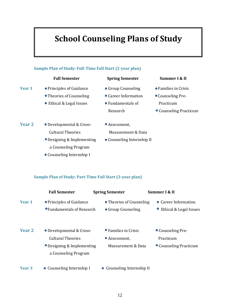# **School Counseling Plans of Study**

<span id="page-11-1"></span><span id="page-11-0"></span>

### **Sample Plan of Study: Part-Time Fall Start (3-year plan)**

|                   | <b>Fall Semester</b>                                   | <b>Spring Semester</b>                         | Summer I & II                                    |
|-------------------|--------------------------------------------------------|------------------------------------------------|--------------------------------------------------|
| Year 1            | • Principles of Guidance<br>• Fundamentals of Research | • Theories of Counseling<br>• Group Counseling | • Career Information<br>• Ethical & Legal Issues |
| Year <sub>2</sub> |                                                        |                                                |                                                  |
|                   | • Developmental & Cross-<br><b>Cultural Theories</b>   | • Families in Crisis<br>• Assessment,          | • Counseling Pre-<br>Practicum                   |
|                   | • Designing & Implementing<br>a Counseling Program     | Measurement & Data                             | • Counseling Practicum                           |
| Year <sub>3</sub> | • Counseling Internship I                              | • Counseling Internship II                     |                                                  |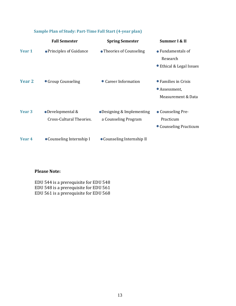|                   | <b>Fall Semester</b>                          | <b>Spring Semester</b>                            | Summer I & II                                               |
|-------------------|-----------------------------------------------|---------------------------------------------------|-------------------------------------------------------------|
| Year 1            | • Principles of Guidance                      | • Theories of Counseling                          | • Fundamentals of<br>Research<br>● Ethical & Legal Issues   |
| Year 2            | • Group Counseling                            | • Career Information                              | • Families in Crisis<br>• Assessment,<br>Measurement & Data |
| Year <sub>3</sub> | • Developmental &<br>Cross-Cultural Theories. | •Designing & Implementing<br>a Counseling Program | • Counseling Pre-<br>Practicum<br>• Counseling Practicum    |
| Year 4            | • Counseling Internship I                     | • Counseling Internship II                        |                                                             |

## **Sample Plan of Study: Part-Time Fall Start (4-year plan)**

## **Please Note:**

EDU 544 is a prerequisite for EDU 548 EDU 548 is a prerequisite for EDU 561 EDU 561 is a prerequisite for EDU 568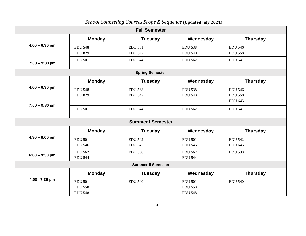<span id="page-13-0"></span>

| <b>Fall Semester</b>      |                |                          |                |                 |  |
|---------------------------|----------------|--------------------------|----------------|-----------------|--|
|                           | <b>Monday</b>  | <b>Tuesday</b>           | Wednesday      | <b>Thursday</b> |  |
| $4:00 - 6:30$ pm          | <b>EDU 548</b> | <b>EDU 561</b>           | <b>EDU 538</b> | <b>EDU 546</b>  |  |
|                           | <b>EDU 829</b> | <b>EDU 542</b>           | <b>EDU 540</b> | <b>EDU 558</b>  |  |
| $7:00 - 9:30$ pm          | <b>EDU 501</b> | <b>EDU 544</b>           | <b>EDU 562</b> | <b>EDU 541</b>  |  |
|                           |                | <b>Spring Semester</b>   |                |                 |  |
|                           | <b>Monday</b>  | <b>Tuesday</b>           | Wednesday      | <b>Thursday</b> |  |
| $4:00 - 6:30$ pm          | <b>EDU 548</b> | <b>EDU 568</b>           | <b>EDU 538</b> | <b>EDU 546</b>  |  |
|                           | <b>EDU 829</b> | <b>EDU 542</b>           | <b>EDU 540</b> | <b>EDU 558</b>  |  |
| $7:00 - 9:30$ pm          |                |                          |                | <b>EDU 645</b>  |  |
|                           | <b>EDU 501</b> | <b>EDU 544</b>           | <b>EDU 562</b> | <b>EDU 541</b>  |  |
|                           |                | <b>Summer I Semester</b> |                |                 |  |
|                           | <b>Monday</b>  | <b>Tuesday</b>           | Wednesday      | <b>Thursday</b> |  |
| $4:30 - 8:00$ pm          | <b>EDU 501</b> | <b>EDU 542</b>           | <b>EDU 501</b> | <b>EDU 542</b>  |  |
|                           | <b>EDU 546</b> | <b>EDU 645</b>           | <b>EDU 546</b> | <b>EDU 645</b>  |  |
| $6:00 - 9:30$ pm          | <b>EDU 562</b> | <b>EDU 538</b>           | <b>EDU 562</b> | <b>EDU 538</b>  |  |
|                           | <b>EDU 544</b> |                          | <b>EDU 544</b> |                 |  |
| <b>Summer II Semester</b> |                |                          |                |                 |  |
|                           | <b>Monday</b>  | <b>Tuesday</b>           | Wednesday      | <b>Thursday</b> |  |
| $4:00 - 7:30$ pm          | <b>EDU 501</b> | <b>EDU 540</b>           | <b>EDU 501</b> | <b>EDU 540</b>  |  |
|                           | <b>EDU 558</b> |                          | <b>EDU 558</b> |                 |  |
|                           | <b>EDU 548</b> |                          | <b>EDU 548</b> |                 |  |

## *School Counseling Courses Scope & Sequence* **(Updated July 2021)**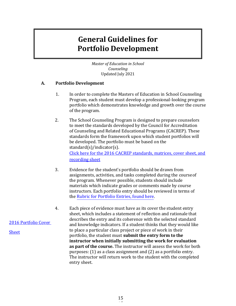## <span id="page-14-1"></span>**[General Guidelines for](#page-14-0)  [Portfolio Development](#page-14-0)**

<span id="page-14-0"></span>*[Master of Education in School](#page-14-0)  [Counseling](#page-14-0)* Updated July 2021

## **A. Portfolio Development**

- 1. In order to complete the Masters of Education in School Counseling Program, each student must develop a professional-looking program portfolio which demonstrates knowledge and growth over the course of the program.
- 2. The School Counseling Program is designed to prepare counselors to meet the standards developed by the Council for Accreditation of Counseling and Related Educational Programs (CACREP). These standards form the framework upon which student portfolios will be developed. The portfolio must be based on the standard(s)/indicator(s). [Click here for the 2016 CACREP standards, matrices, cover sheet, and](#page-22-0)

[recording sheet](#page-22-0)

- 3. Evidence for the student's portfolio should be drawn from assignments, activities, and tasks completed during the courseof the program. Whenever possible, students should include materials which indicate grades or comments made by course instructors. Each portfolio entry should be reviewed in terms of the [Rubric for Portfolio Entries, found](#page-39-0) here.
- 4. Each piece of evidence must have as its cover the student entry sheet, which includes a statement of reflection and rationale that describes the entry and its coherence with the selected standard and knowledge indicators. If a student thinks that they would like to place a particular class project or piece of work in their portfolio, the student must **submit the entry form to the instructor when initially submitting the work for evaluation as part of the course.** The instructor will assess the work for both purposes: (1) as a class assignment and (2) as a portfolio entry. The instructor will return work to the student with the completed entry sheet.

## [2016 Portfolio Cover](#page-34-0)

[Sheet](#page-34-0)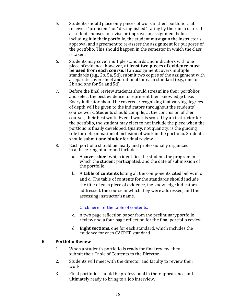- 5. Students should place only pieces of work in their portfolio that receive a "proficient" or "distinguished" rating by their instructor. If a student chooses to revise or improve an assignment before including it in their portfolio, the student must gain the instructor's approval and agreement to re-assess the assignment for purposes of the portfolio. This should happen in the semester in which the class is taken.
- 6. Students may cover multiple standards and indicators with one piece of evidence; however, at least two pieces of evidence must **be used from each course.** If an assignment covers multiple standards  $(e.g., 2b, 5a, 5d)$ , submit two copies of the assignment with a separate cover sheet and rational for each standard (e.g., one for 2b and one for 5a and 5d).
- 7. Before the final review students should streamline their portfolios and select the best evidence to represent their knowledge base. Every indicator should be covered, recognizing that varying degrees of depth will be given to the indicators throughout the students' course work. Students should compile, at the conclusion of their courses, their best work. Even if work is scored by an instructor for the portfolio, the student may elect to not include the piece when the portfolio is finally developed. Quality, not quantity, is the guiding rule for determination of inclusion of work in the portfolio. Students should submit **one binder** for final review.
- 8. Each portfolio should be neatly and professionally organized in a three-ring binder and include:
	- a. A **cover sheet** which identifies the student, the program in which the student participated, and the date of submission of the portfolio.
	- b. A **table of contents** listing all the components cited below in c and d. The table of contents for the standards should include the title of each piece of evidence, the knowledge indicators addressed, the course in which they were addressed, and the assessing instructor's name.

## Click here for the table of contents.

- c. A two page reflection paper from the preliminary portfolio review and a four page reflection for the final portfolio review.
- d. **Eight sections,** one for each standard, which includes the evidence for each CACREP standard.

## **B. Portfolio Review**

- 1. When a student's portfolio is ready for final review, they submit their Table of Contents to the Director.
- 2. Students will meet with the director and faculty to review their work.
- 3. Final portfolios should be professional in their appearance and ultimately ready to bring to a job interview.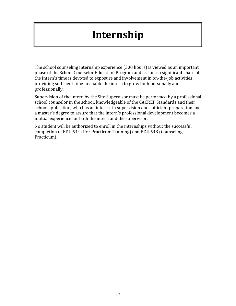# **[Internship](#page-16-0)**

<span id="page-16-1"></span><span id="page-16-0"></span>The school counseling internship experience (300 hours) is viewed as an important phase of the School Counselor Education Program and as such, a significant share of the intern's time is devoted to exposure and involvement in on-the-job activities providing sufficient time to enable the intern to grow both personally and professionally.

Supervision of the intern by the Site Supervisor must be performed by a professional school counselor in the school, knowledgeable of the CACREP Standards and their school application, who has an interest in supervision and sufficient preparation and a master's degree to assure that the intern's professional development becomes a mutual experience for both the intern and the supervisor.

No student will be authorized to enroll in the internships without the successful completion of EDU 544 (Pre-Practicum Training) and EDU 548 (Counseling Practicum).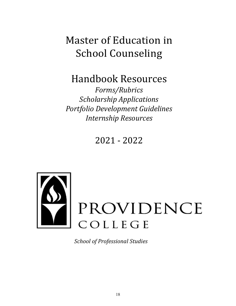# Master of Education in School Counseling

Handbook Resources

*Forms/Rubrics Scholarship Applications Portfolio Development Guidelines Internship Resources*

2021 - 2022



*School of Professional Studies*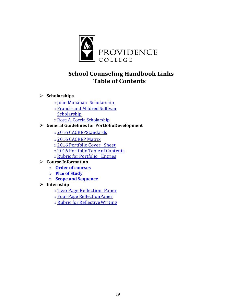

## **School Counseling Handbook Links Table of Contents**

- Ø **Scholarships**
	- o John Monahan [Scholarship](#page-19-1)
	- o Francis and Mildred Sullivan **[Scholarship](#page-20-1)**
	- o Rose A. Coccia Scholarship
- Ø **General Guidelines for PortfolioDevelopment**
	- o 2016 [CACREPStandards](#page-22-1)
	- o 2016 [CACREP](#page-27-0) Matrix
	- o 2016 [Portfolio](#page-34-1) Cover Sheet
	- o 2016 Portfolio Table of [Contents](#page-35-0)
	- o Rubric for Portfolio Entries
- Ø **Course Information**
	- o **[Order of courses](#page-40-0)**
	- o **Plan [of Study](#page-41-0)**
	- $\circ$  **Scope and Sequence**
- Ø **Internship**
	- o Two Page [Reflection](#page-43-0) Paper
	- o Four Page [ReflectionPaper](#page-45-0)
	- o Rubric for Reflective Writing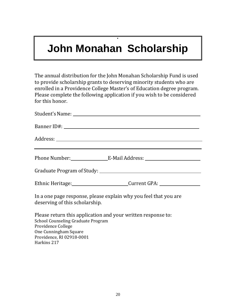# <span id="page-19-1"></span>**John Monahan Scholarship**

**.**

<span id="page-19-0"></span>The annual distribution for the John Monahan Scholarship Fund is used to provide scholarship grants to deserving minority students who are enrolled in a Providence College Master's of Education degree program. Please complete the following application if you wish to be considered for this honor.

|                                                                                                                          | Ethnic Heritage: Current GPA: Current GPA: |  |
|--------------------------------------------------------------------------------------------------------------------------|--------------------------------------------|--|
| In a one page response, please explain why you feel that you are<br>deserving of this scholarship.                       |                                            |  |
| Please return this application and your written response to:<br>School Counseling Graduate Program<br>Providence College |                                            |  |

One Cunningham Square Providence, RI 02918-0001 Harkins 217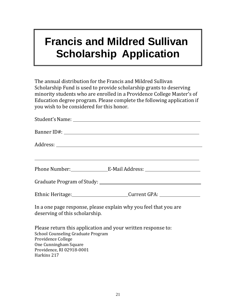# <span id="page-20-1"></span>**Francis and Mildred Sullivan Scholarship Application**

<span id="page-20-0"></span>The annual distribution for the Francis and Mildred Sullivan Scholarship Fund is used to provide scholarship grants to deserving minority students who are enrolled in a Providence College Master's of Education degree program. Please complete the following application if you wish to be considered for this honor.

| Ethnic Heritage: Current GPA: Current CPA:                                                                                                                                     |  |  |  |  |  |
|--------------------------------------------------------------------------------------------------------------------------------------------------------------------------------|--|--|--|--|--|
| In a one page response, please explain why you feel that you are<br>deserving of this scholarship.                                                                             |  |  |  |  |  |
| Please return this application and your written response to:<br>School Counseling Graduate Program<br>Providence College<br>One Cunningham Square<br>Providence, RI 02918-0001 |  |  |  |  |  |

Harkins 217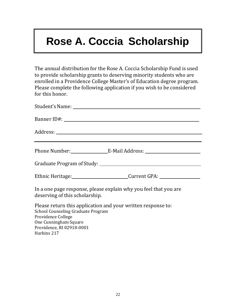# <span id="page-21-1"></span>**Rose A. Coccia Scholarship**

<span id="page-21-0"></span>The annual distribution for the Rose A. Coccia Scholarship Fund is used to provide scholarship grants to deserving minority students who are enrolled in a Providence College Master's of Education degree program. Please complete the following application if you wish to be considered for this honor.

| Ethnic Heritage: Current GPA: Current CPA:                                                                                                                                                      |
|-------------------------------------------------------------------------------------------------------------------------------------------------------------------------------------------------|
| In a one page response, please explain why you feel that you are<br>deserving of this scholarship.                                                                                              |
| Please return this application and your written response to:<br>School Counseling Graduate Program<br>Providence College<br>$Q_{\text{max}}$ $Q_{\text{max}}$ $Q_{\text{max}}$ $Q_{\text{max}}$ |

One Cunningham Square Providence, RI 02918-0001

Harkins 217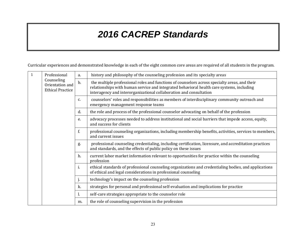# *2016 CACREP Standards*

<span id="page-22-1"></span>Curricular experiences and demonstrated knowledge in each of the eight common core areas are required of all students in the program.

<span id="page-22-0"></span>

| 1 | Professional<br>Counseling<br>Orientation and<br><b>Ethical Practice</b> | a.    | history and philosophy of the counseling profession and its specialty areas                                                                                                                                                                                      |
|---|--------------------------------------------------------------------------|-------|------------------------------------------------------------------------------------------------------------------------------------------------------------------------------------------------------------------------------------------------------------------|
|   |                                                                          | $b$ . | the multiple professional roles and functions of counselors across specialty areas, and their<br>relationships with human service and integrated behavioral health care systems, including<br>interagency and interorganizational collaboration and consultation |
|   |                                                                          | C.    | counselors' roles and responsibilities as members of interdisciplinary community outreach and<br>emergency management response teams                                                                                                                             |
|   |                                                                          | d.    | the role and process of the professional counselor advocating on behalf of the profession                                                                                                                                                                        |
|   |                                                                          | e.    | advocacy processes needed to address institutional and social barriers that impede access, equity,<br>and success for clients                                                                                                                                    |
|   |                                                                          | f.    | professional counseling organizations, including membership benefits, activities, services to members,<br>and current issues                                                                                                                                     |
|   |                                                                          | g.    | professional counseling credentialing, including certification, licensure, and accreditation practices<br>and standards, and the effects of public policy on these issues                                                                                        |
|   |                                                                          | h.    | current labor market information relevant to opportunities for practice within the counseling<br>profession                                                                                                                                                      |
|   |                                                                          | i.    | ethical standards of professional counseling organizations and credentialing bodies, and applications<br>of ethical and legal considerations in professional counseling                                                                                          |
|   |                                                                          | j.    | technology's impact on the counseling profession                                                                                                                                                                                                                 |
|   |                                                                          | k.    | strategies for personal and professional self-evaluation and implications for practice                                                                                                                                                                           |
|   |                                                                          | Ι.    | self-care strategies appropriate to the counselor role                                                                                                                                                                                                           |
|   |                                                                          | m.    | the role of counseling supervision in the profession                                                                                                                                                                                                             |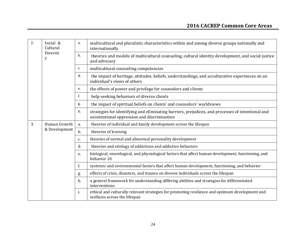| 2. | Social &<br>Cultural | a. | multicultural and pluralistic characteristics within and among diverse groups nationally and<br>internationally                                  |
|----|----------------------|----|--------------------------------------------------------------------------------------------------------------------------------------------------|
|    | Diversit<br>y        | b. | theories and models of multicultural counseling, cultural identity development, and social justice<br>and advocacy                               |
|    |                      | c. | multicultural counseling competencies                                                                                                            |
|    |                      | d. | the impact of heritage, attitudes, beliefs, understandings, and acculturative experiences on an<br>individual's views of others                  |
|    |                      | e. | the effects of power and privilege for counselors and clients                                                                                    |
|    |                      | f. | help-seeking behaviors of diverse clients                                                                                                        |
|    |                      | g. | the impact of spiritual beliefs on clients' and counselors' worldviews                                                                           |
|    |                      | h. | strategies for identifying and eliminating barriers, prejudices, and processes of intentional and<br>unintentional oppression and discrimination |
| 3. | Human Growth         | a. | theories of individual and family development across the lifespan                                                                                |
|    | & Development        | b. | theories of learning                                                                                                                             |
|    |                      | c. | theories of normal and abnormal personality development                                                                                          |
|    |                      | d. | theories and etiology of addictions and addictive behaviors                                                                                      |
|    |                      | e. | biological, neurological, and physiological factors that affect human development, functioning, and<br>behavior 10                               |
|    |                      | f. | systemic and environmental factors that affect human development, functioning, and behavior                                                      |
|    |                      | g. | effects of crisis, disasters, and trauma on diverse individuals across the lifespan                                                              |
|    |                      | h. | a general framework for understanding differing abilities and strategies for differentiated<br>interventions                                     |
|    |                      | i. | ethical and culturally relevant strategies for promoting resilience and optimum development and<br>wellness across the lifespan                  |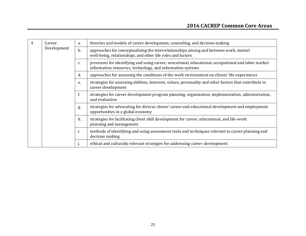| 4 | Career      | a. | theories and models of career development, counseling, and decision making                                                                                        |
|---|-------------|----|-------------------------------------------------------------------------------------------------------------------------------------------------------------------|
|   | Development | b. | approaches for conceptualizing the interrelationships among and between work, mental<br>well-being, relationships, and other life roles and factors               |
|   |             | c. | processes for identifying and using career, avocational, educational, occupational and labor market<br>information resources, technology, and information systems |
|   |             | d. | approaches for assessing the conditions of the work environment on clients' life experiences                                                                      |
|   |             | e. | strategies for assessing abilities, interests, values, personality and other factors that contribute to<br>career development                                     |
|   |             | f. | strategies for career development program planning, organization, implementation, administration,<br>and evaluation                                               |
|   |             | g. | strategies for advocating for diverse clients' career and educational development and employment<br>opportunities in a global economy                             |
|   |             | h. | strategies for facilitating client skill development for career, educational, and life-work<br>planning and management                                            |
|   |             | i. | methods of identifying and using assessment tools and techniques relevant to career planning and<br>decision making                                               |
|   |             |    | ethical and culturally relevant strategies for addressing career development                                                                                      |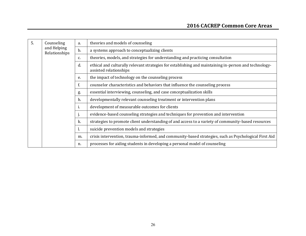| 5. | Counseling                   | a. | theories and models of counseling                                                                                               |
|----|------------------------------|----|---------------------------------------------------------------------------------------------------------------------------------|
|    | and Helping<br>Relationships | b. | a systems approach to conceptualizing clients                                                                                   |
|    |                              | c. | theories, models, and strategies for understanding and practicing consultation                                                  |
|    |                              | d. | ethical and culturally relevant strategies for establishing and maintaining in-person and technology-<br>assisted relationships |
|    |                              | e. | the impact of technology on the counseling process                                                                              |
|    |                              |    | counselor characteristics and behaviors that influence the counseling process                                                   |
|    |                              | g. | essential interviewing, counseling, and case conceptualization skills                                                           |
|    |                              | h. | developmentally relevant counseling treatment or intervention plans                                                             |
|    |                              | 1. | development of measurable outcomes for clients                                                                                  |
|    |                              | ъ. | evidence-based counseling strategies and techniques for prevention and intervention                                             |
|    |                              | k. | strategies to promote client understanding of and access to a variety of community-based resources                              |
|    |                              | 1. | suicide prevention models and strategies                                                                                        |
|    |                              | m. | crisis intervention, trauma-informed, and community-based strategies, such as Psychological First Aid                           |
|    |                              | n. | processes for aiding students in developing a personal model of counseling                                                      |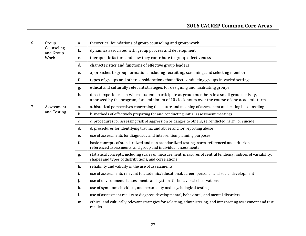| 6. | Group                   | a.            | theoretical foundations of group counseling and group work                                                                                                                                    |
|----|-------------------------|---------------|-----------------------------------------------------------------------------------------------------------------------------------------------------------------------------------------------|
|    | Counseling<br>and Group | b.            | dynamics associated with group process and development                                                                                                                                        |
|    | Work                    | c.            | therapeutic factors and how they contribute to group effectiveness                                                                                                                            |
|    |                         | d.            | characteristics and functions of effective group leaders                                                                                                                                      |
|    |                         | e.            | approaches to group formation, including recruiting, screening, and selecting members                                                                                                         |
|    |                         | f.            | types of groups and other considerations that affect conducting groups in varied settings                                                                                                     |
|    |                         | g.            | ethical and culturally relevant strategies for designing and facilitating groups                                                                                                              |
|    |                         | h.            | direct experiences in which students participate as group members in a small group activity,<br>approved by the program, for a minimum of 10 clock hours over the course of one academic term |
| 7. | Assessment              | a.            | a. historical perspectives concerning the nature and meaning of assessment and testing in counseling                                                                                          |
|    | and Testing             | $b$ .         | b. methods of effectively preparing for and conducting initial assessment meetings                                                                                                            |
|    |                         | c.            | c. procedures for assessing risk of aggression or danger to others, self-inflicted harm, or suicide                                                                                           |
|    |                         | d.            | d. procedures for identifying trauma and abuse and for reporting abuse                                                                                                                        |
|    |                         | e.            | use of assessments for diagnostic and intervention planning purposes                                                                                                                          |
|    |                         | f.            | basic concepts of standardized and non-standardized testing, norm-referenced and criterion-<br>referenced assessments, and group and individual assessments                                   |
|    |                         | g.            | statistical concepts, including scales of measurement, measures of central tendency, indices of variability,<br>shapes and types of distributions, and correlations                           |
|    |                         | h.            | reliability and validity in the use of assessments                                                                                                                                            |
|    |                         | <sup>1.</sup> | use of assessments relevant to academic/educational, career, personal, and social development                                                                                                 |
|    |                         | j.            | use of environmental assessments and systematic behavioral observations                                                                                                                       |
|    |                         | k.            | use of symptom checklists, and personality and psychological testing                                                                                                                          |
|    |                         | 1.            | use of assessment results to diagnose developmental, behavioral, and mental disorders                                                                                                         |
|    |                         | m.            | ethical and culturally relevant strategies for selecting, administering, and interpreting assessment and test<br>results                                                                      |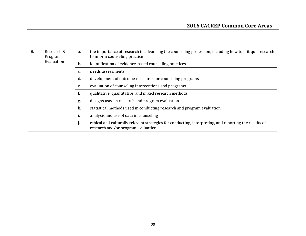<span id="page-27-0"></span>

| 8. | Research &<br>a.<br>Program |    | the importance of research in advancing the counseling profession, including how to critique research<br>to inform counseling practice      |
|----|-----------------------------|----|---------------------------------------------------------------------------------------------------------------------------------------------|
|    | Evaluation                  | b. | identification of evidence-based counseling practices                                                                                       |
|    |                             | c. | needs assessments                                                                                                                           |
|    |                             | d. | development of outcome measures for counseling programs                                                                                     |
|    |                             | e. | evaluation of counseling interventions and programs                                                                                         |
|    |                             | f. | qualitative, quantitative, and mixed research methods                                                                                       |
|    |                             | g. | designs used in research and program evaluation                                                                                             |
|    |                             | h. | statistical methods used in conducting research and program evaluation                                                                      |
|    |                             | ı. | analysis and use of data in counseling                                                                                                      |
|    |                             | j. | ethical and culturally relevant strategies for conducting, interpreting, and reporting the results of<br>research and/or program evaluation |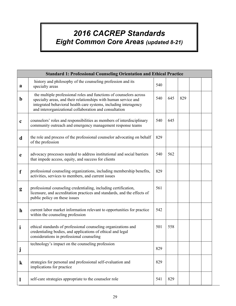# *2016 CACREP Standards Eight Common Core Areas (updated 8-21)*

|             | <b>Standard 1: Professional Counseling Orientation and Ethical Practice</b>                                                                                                                                                                                         |     |     |     |  |  |  |
|-------------|---------------------------------------------------------------------------------------------------------------------------------------------------------------------------------------------------------------------------------------------------------------------|-----|-----|-----|--|--|--|
| a           | history and philosophy of the counseling profession and its<br>specialty areas                                                                                                                                                                                      | 540 |     |     |  |  |  |
| $\mathbf b$ | the multiple professional roles and functions of counselors across<br>specialty areas, and their relationships with human service and<br>integrated behavioral health care systems, including interagency<br>and interorganizational collaboration and consultation | 540 | 645 | 829 |  |  |  |
| $\mathbf c$ | counselors' roles and responsibilities as members of interdisciplinary<br>community outreach and emergency management response teams                                                                                                                                | 540 | 645 |     |  |  |  |
| d           | the role and process of the professional counselor advocating on behalf<br>of the profession                                                                                                                                                                        | 829 |     |     |  |  |  |
| $\mathbf e$ | advocacy processes needed to address institutional and social barriers<br>that impede access, equity, and success for clients                                                                                                                                       | 540 | 562 |     |  |  |  |
| f           | professional counseling organizations, including membership benefits,<br>activities, services to members, and current issues                                                                                                                                        | 829 |     |     |  |  |  |
| g           | professional counseling credentialing, including certification,<br>licensure, and accreditation practices and standards, and the effects of<br>public policy on these issues                                                                                        | 561 |     |     |  |  |  |
| $\mathbf h$ | current labor market information relevant to opportunities for practice<br>within the counseling profession                                                                                                                                                         | 542 |     |     |  |  |  |
| i           | ethical standards of professional counseling organizations and<br>credentialing bodies, and applications of ethical and legal<br>considerations in professional counseling                                                                                          | 501 | 558 |     |  |  |  |
| ${\bf J}$   | technology's impact on the counseling profession                                                                                                                                                                                                                    | 829 |     |     |  |  |  |
| $\bf k$     | strategies for personal and professional self-evaluation and<br>implications for practice                                                                                                                                                                           | 829 |     |     |  |  |  |
|             | self-care strategies appropriate to the counselor role                                                                                                                                                                                                              | 541 | 829 |     |  |  |  |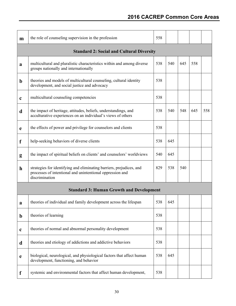| m            | the role of counseling supervision in the profession                                                                                                | 558 |     |     |     |     |  |
|--------------|-----------------------------------------------------------------------------------------------------------------------------------------------------|-----|-----|-----|-----|-----|--|
|              | <b>Standard 2: Social and Cultural Diversity</b>                                                                                                    |     |     |     |     |     |  |
| a            | multicultural and pluralistic characteristics within and among diverse<br>groups nationally and internationally                                     | 538 | 540 | 645 | 558 |     |  |
| $\mathbf b$  | theories and models of multicultural counseling, cultural identity<br>development, and social justice and advocacy                                  | 538 |     |     |     |     |  |
| $\mathbf c$  | multicultural counseling competencies                                                                                                               | 538 |     |     |     |     |  |
| d            | the impact of heritage, attitudes, beliefs, understandings, and<br>acculturative experiences on an individual's views of others                     | 538 | 540 | 548 | 645 | 558 |  |
| e            | the effects of power and privilege for counselors and clients                                                                                       | 538 |     |     |     |     |  |
| f            | help-seeking behaviors of diverse clients                                                                                                           | 538 | 645 |     |     |     |  |
| g            | the impact of spiritual beliefs on clients' and counselors' worldviews                                                                              | 540 | 645 |     |     |     |  |
| $\mathbf{h}$ | strategies for identifying and eliminating barriers, prejudices, and<br>processes of intentional and unintentional oppression and<br>discrimination | 829 | 538 | 540 |     |     |  |
|              | <b>Standard 3: Human Growth and Development</b>                                                                                                     |     |     |     |     |     |  |
| a            | theories of individual and family development across the lifespan                                                                                   | 538 | 645 |     |     |     |  |
| $\mathbf b$  | theories of learning                                                                                                                                | 538 |     |     |     |     |  |
| $\mathbf c$  | theories of normal and abnormal personality development                                                                                             | 538 |     |     |     |     |  |
| d            | theories and etiology of addictions and addictive behaviors                                                                                         | 538 |     |     |     |     |  |
| $\mathbf e$  | biological, neurological, and physiological factors that affect human<br>development, functioning, and behavior                                     | 538 | 645 |     |     |     |  |
| f            | systemic and environmental factors that affect human development,                                                                                   | 538 |     |     |     |     |  |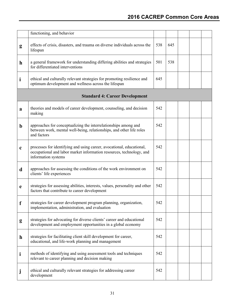|              | functioning, and behavior                                                                                                                                            |     |     |  |  |
|--------------|----------------------------------------------------------------------------------------------------------------------------------------------------------------------|-----|-----|--|--|
| g            | effects of crisis, disasters, and trauma on diverse individuals across the<br>lifespan                                                                               | 538 | 645 |  |  |
| $\mathbf{h}$ | a general framework for understanding differing abilities and strategies<br>for differentiated interventions                                                         | 501 | 538 |  |  |
| $\mathbf i$  | ethical and culturally relevant strategies for promoting resilience and<br>optimum development and wellness across the lifespan                                      | 645 |     |  |  |
|              | <b>Standard 4: Career Development</b>                                                                                                                                |     |     |  |  |
| a            | theories and models of career development, counseling, and decision<br>making                                                                                        | 542 |     |  |  |
| $\mathbf b$  | approaches for conceptualizing the interrelationships among and<br>between work, mental well-being, relationships, and other life roles<br>and factors               | 542 |     |  |  |
| $\mathbf c$  | processes for identifying and using career, avocational, educational,<br>occupational and labor market information resources, technology, and<br>information systems | 542 |     |  |  |
| d            | approaches for assessing the conditions of the work environment on<br>clients' life experiences                                                                      | 542 |     |  |  |
| e            | strategies for assessing abilities, interests, values, personality and other<br>factors that contribute to career development                                        | 542 |     |  |  |
| f            | strategies for career development program planning, organization,<br>implementation, administration, and evaluation                                                  | 542 |     |  |  |
| g            | strategies for advocating for diverse clients' career and educational<br>development and employment opportunities in a global economy                                | 542 |     |  |  |
| $\mathbf{h}$ | strategies for facilitating client skill development for career,<br>educational, and life-work planning and management                                               | 542 |     |  |  |
| $\mathbf{i}$ | methods of identifying and using assessment tools and techniques<br>relevant to career planning and decision making                                                  | 542 |     |  |  |
|              | ethical and culturally relevant strategies for addressing career<br>development                                                                                      | 542 |     |  |  |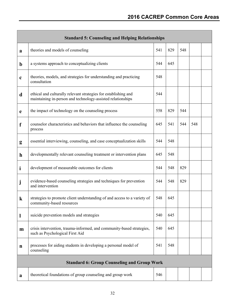|              | <b>Standard 5: Counseling and Helping Relationships</b>                                                                        |     |     |     |     |  |
|--------------|--------------------------------------------------------------------------------------------------------------------------------|-----|-----|-----|-----|--|
| a            | theories and models of counseling                                                                                              | 541 | 829 | 548 |     |  |
| $\mathbf b$  | a systems approach to conceptualizing clients                                                                                  | 544 | 645 |     |     |  |
| $\mathbf c$  | theories, models, and strategies for understanding and practicing<br>consultation                                              | 548 |     |     |     |  |
| d            | ethical and culturally relevant strategies for establishing and<br>maintaining in-person and technology-assisted relationships | 544 |     |     |     |  |
| e            | the impact of technology on the counseling process                                                                             | 558 | 829 | 544 |     |  |
| f            | counselor characteristics and behaviors that influence the counseling<br>process                                               | 645 | 541 | 544 | 548 |  |
| g            | essential interviewing, counseling, and case conceptualization skills                                                          | 544 | 548 |     |     |  |
| $\mathbf{h}$ | developmentally relevant counseling treatment or intervention plans                                                            | 645 | 548 |     |     |  |
| $\mathbf i$  | development of measurable outcomes for clients                                                                                 | 544 | 548 | 829 |     |  |
| j            | evidence-based counseling strategies and techniques for prevention<br>and intervention                                         | 544 | 548 | 829 |     |  |
| $\bf k$      | strategies to promote client understanding of and access to a variety of<br>community-based resources                          | 548 | 645 |     |     |  |
| 1            | suicide prevention models and strategies                                                                                       | 540 | 645 |     |     |  |
| m            | crisis intervention, trauma-informed, and community-based strategies,<br>such as Psychological First Aid                       | 540 | 645 |     |     |  |
| $\mathbf n$  | processes for aiding students in developing a personal model of<br>counseling                                                  | 541 | 548 |     |     |  |
|              | <b>Standard 6: Group Counseling and Group Work</b>                                                                             |     |     |     |     |  |
| a            | theoretical foundations of group counseling and group work                                                                     | 546 |     |     |     |  |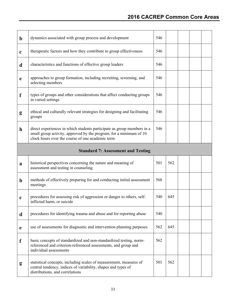| $\mathbf b$  | dynamics associated with group process and development                                                                                                                                           | 546 |     |  |  |
|--------------|--------------------------------------------------------------------------------------------------------------------------------------------------------------------------------------------------|-----|-----|--|--|
| $\mathbf c$  | therapeutic factors and how they contribute to group effectiveness                                                                                                                               | 546 |     |  |  |
| d            | characteristics and functions of effective group leaders                                                                                                                                         | 546 |     |  |  |
| $\mathbf e$  | approaches to group formation, including recruiting, screening, and<br>selecting members                                                                                                         | 546 |     |  |  |
| f            | types of groups and other considerations that affect conducting groups<br>in varied settings                                                                                                     | 546 |     |  |  |
| g            | ethical and culturally relevant strategies for designing and facilitating<br>groups                                                                                                              | 546 |     |  |  |
| $\mathbf{h}$ | direct experiences in which students participate as group members in a<br>small group activity, approved by the program, for a minimum of 10<br>clock hours over the course of one academic term | 546 |     |  |  |
|              | <b>Standard 7: Assessment and Testing</b>                                                                                                                                                        |     |     |  |  |
|              |                                                                                                                                                                                                  |     |     |  |  |
| a            | historical perspectives concerning the nature and meaning of<br>assessment and testing in counseling                                                                                             | 501 | 562 |  |  |
| $\mathbf b$  | methods of effectively preparing for and conducting initial assessment<br>meetings                                                                                                               | 568 |     |  |  |
| $\mathbf c$  | procedures for assessing risk of aggression or danger to others, self-<br>inflicted harm, or suicide                                                                                             | 540 | 645 |  |  |
| d            | procedures for identifying trauma and abuse and for reporting abuse                                                                                                                              | 540 |     |  |  |
| e            | use of assessments for diagnostic and intervention planning purposes                                                                                                                             | 562 | 645 |  |  |
| f            | basic concepts of standardized and non-standardized testing, norm-<br>referenced and criterion-referenced assessments, and group and<br>individual assessments                                   | 562 |     |  |  |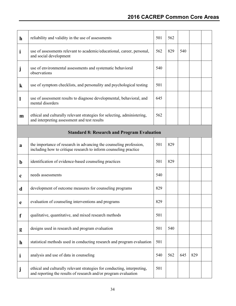## **2016 CACREP Common Core Areas**

| $\mathbf{h}$ | reliability and validity in the use of assessments                                                                                          | 501 | 562 |     |     |  |
|--------------|---------------------------------------------------------------------------------------------------------------------------------------------|-----|-----|-----|-----|--|
| $\mathbf{i}$ | use of assessments relevant to academic/educational, career, personal,<br>and social development                                            | 562 | 829 | 540 |     |  |
| Ĵ            | use of environmental assessments and systematic behavioral<br>observations                                                                  | 540 |     |     |     |  |
| $\bf k$      | use of symptom checklists, and personality and psychological testing                                                                        | 501 |     |     |     |  |
| 1            | use of assessment results to diagnose developmental, behavioral, and<br>mental disorders                                                    | 645 |     |     |     |  |
| m            | ethical and culturally relevant strategies for selecting, administering,<br>and interpreting assessment and test results                    | 562 |     |     |     |  |
|              | <b>Standard 8: Research and Program Evaluation</b>                                                                                          |     |     |     |     |  |
| a            | the importance of research in advancing the counseling profession,<br>including how to critique research to inform counseling practice      | 501 | 829 |     |     |  |
| $\mathbf b$  | identification of evidence-based counseling practices                                                                                       | 501 | 829 |     |     |  |
| $\mathbf c$  | needs assessments                                                                                                                           | 540 |     |     |     |  |
| d            | development of outcome measures for counseling programs                                                                                     | 829 |     |     |     |  |
| e            | evaluation of counseling interventions and programs                                                                                         | 829 |     |     |     |  |
| f            | qualitative, quantitative, and mixed research methods                                                                                       | 501 |     |     |     |  |
| g            | designs used in research and program evaluation                                                                                             | 501 | 540 |     |     |  |
| $\mathbf{h}$ | statistical methods used in conducting research and program evaluation                                                                      | 501 |     |     |     |  |
| $\mathbf{i}$ | analysis and use of data in counseling                                                                                                      | 540 | 562 | 645 | 829 |  |
| Ĵ            | ethical and culturally relevant strategies for conducting, interpreting,<br>and reporting the results of research and/or program evaluation | 501 |     |     |     |  |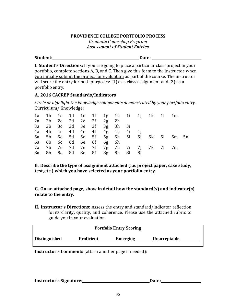## **PROVIDENCE COLLEGE PORTFOLIO PROCESS** *Graduate Counseling Program Assessment of Student Entries*

<span id="page-34-1"></span><span id="page-34-0"></span>**Student: Date:**

**I. Student's Directions:** If you are going to place a particular class project in your portfolio, complete sections A, B, and C. Then give this form to the instructor when you initially submit the project for evaluation as part of the course. The instructor will score the entry for both purposes: (1) as a class assignment and (2) as a portfolio entry.

## **A. 2016 CACREP Standards/Indicators**

*Circle or highlight the knowledge components demonstrated by your portfolio entry.* Curriculum/ Knowledge:

|  | 2a 2b 2c 2d 2e 2f 2g 2h |  |                               |  | 1a 1b 1c 1d 1e 1f 1g 1h 1i 1j 1k 1l 1m |                                           |  |
|--|-------------------------|--|-------------------------------|--|----------------------------------------|-------------------------------------------|--|
|  |                         |  | 3a 3b 3c 3d 3e 3f 3g 3h 3i    |  |                                        |                                           |  |
|  |                         |  | 4a 4b 4c 4d 4e 4f 4g 4h 4i 4j |  |                                        |                                           |  |
|  |                         |  |                               |  |                                        | 5a 5b 5c 5d 5e 5f 5g 5h 5i 5j 5k 5l 5m 5n |  |
|  | 6a 6b 6c 6d 6e 6f 6g 6h |  |                               |  |                                        |                                           |  |
|  |                         |  |                               |  | 7a 7b 7c 7d 7e 7f 7g 7h 7i 7j 7k 7l 7m |                                           |  |
|  |                         |  | 8a 8b 8c 8d 8e 8f 8g 8h 8i 8j |  |                                        |                                           |  |

**B. Describe the type of assignment attached (i.e. project paper, case study, test,etc.) which you have selected as your portfolio entry.**

**C. On an attached page, show in detail how the standard(s) and indicator(s) relate to the entry.**

**II. Instructor's Directions:** Assess the entry and standard/indicator reflection for its clarity, quality, and coherence. Please use the attached rubric to guide you in your evaluation.

|                      |                   | <b>Portfolio Entry Scoring</b> |                     |
|----------------------|-------------------|--------------------------------|---------------------|
| <b>Distinguished</b> | <b>Proficient</b> | <b>Emerging</b>                | <b>Unacceptable</b> |

**Instructor's Comments** (attach another page if needed):

| <b>Instructor's Signature:</b> | Date: |
|--------------------------------|-------|
|--------------------------------|-------|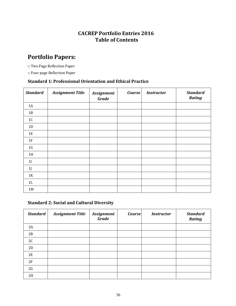## **[CACREP Portfolio Entries 2016](#page-35-1)  [Table of Contents](#page-35-1)**

## <span id="page-35-1"></span><span id="page-35-0"></span>**Portfolio Papers:**

□ Two Page Reflection Paper

□ Four page Reflection Paper

## **Standard 1: Professional Orientation and Ethical Practice**

| <b>Standard</b> | <b>Assignment Title</b> | <b>Assignment</b><br><b>Grade</b> | <b>Course</b> | <b>Instructor</b> | <b>Standard</b><br><b>Rating</b> |
|-----------------|-------------------------|-----------------------------------|---------------|-------------------|----------------------------------|
| 1A              |                         |                                   |               |                   |                                  |
| 1B              |                         |                                   |               |                   |                                  |
| $1\mathrm{C}$   |                         |                                   |               |                   |                                  |
| 1D              |                         |                                   |               |                   |                                  |
| $1E$            |                         |                                   |               |                   |                                  |
| 1F              |                         |                                   |               |                   |                                  |
| 1 <sub>G</sub>  |                         |                                   |               |                   |                                  |
| 1H              |                         |                                   |               |                   |                                  |
| 11              |                         |                                   |               |                   |                                  |
| 1               |                         |                                   |               |                   |                                  |
| 1K              |                         |                                   |               |                   |                                  |
| $1\mathrm{L}$   |                         |                                   |               |                   |                                  |
| 1M              |                         |                                   |               |                   |                                  |

## **Standard 2: Social and Cultural Diversity**

| <b>Standard</b> | <b>Assignment Title</b> | <b>Assignment</b><br>Grade | <b>Course</b> | <b>Instructor</b> | <b>Standard</b><br><b>Rating</b> |
|-----------------|-------------------------|----------------------------|---------------|-------------------|----------------------------------|
| 2A              |                         |                            |               |                   |                                  |
| 2B              |                         |                            |               |                   |                                  |
| 2C              |                         |                            |               |                   |                                  |
| 2D              |                         |                            |               |                   |                                  |
| 2E              |                         |                            |               |                   |                                  |
| 2F              |                         |                            |               |                   |                                  |
| 2G              |                         |                            |               |                   |                                  |
| 2H              |                         |                            |               |                   |                                  |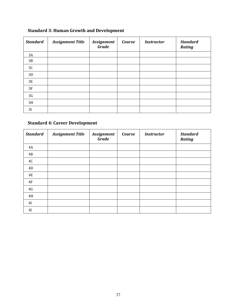| <b>Standard</b> | <b>Assignment Title</b> | <b>Assignment</b><br><b>Grade</b> | Course | <b>Instructor</b> | <b>Standard</b><br><b>Rating</b> |
|-----------------|-------------------------|-----------------------------------|--------|-------------------|----------------------------------|
| 3A              |                         |                                   |        |                   |                                  |
| 3B              |                         |                                   |        |                   |                                  |
| 3C              |                         |                                   |        |                   |                                  |
| 3D              |                         |                                   |        |                   |                                  |
| 3E              |                         |                                   |        |                   |                                  |
| 3F              |                         |                                   |        |                   |                                  |
| 3G              |                         |                                   |        |                   |                                  |
| 3H              |                         |                                   |        |                   |                                  |
| 3I              |                         |                                   |        |                   |                                  |

## **Standard 3: Human Growth and Development**

## **Standard 4: Career Development**

| <b>Standard</b> | <b>Assignment Title</b> | <b>Assignment</b><br><b>Grade</b> | Course | <b>Instructor</b> | <b>Standard</b><br><b>Rating</b> |
|-----------------|-------------------------|-----------------------------------|--------|-------------------|----------------------------------|
| 4A              |                         |                                   |        |                   |                                  |
| 4B              |                         |                                   |        |                   |                                  |
| 4C              |                         |                                   |        |                   |                                  |
| 4D              |                         |                                   |        |                   |                                  |
| <b>4E</b>       |                         |                                   |        |                   |                                  |
| 4F              |                         |                                   |        |                   |                                  |
| 4G              |                         |                                   |        |                   |                                  |
| $4\mathrm{H}$   |                         |                                   |        |                   |                                  |
| 4I              |                         |                                   |        |                   |                                  |
| 4J              |                         |                                   |        |                   |                                  |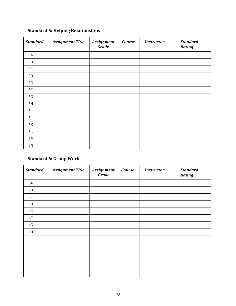| <b>Standard</b> | <b>Assignment Title</b> | <b>Assignment</b><br><b>Grade</b> | Course | <b>Instructor</b> | <b>Standard</b><br><b>Rating</b> |
|-----------------|-------------------------|-----------------------------------|--------|-------------------|----------------------------------|
| 5A              |                         |                                   |        |                   |                                  |
| 5B              |                         |                                   |        |                   |                                  |
| $5\mathrm{C}$   |                         |                                   |        |                   |                                  |
| 5D              |                         |                                   |        |                   |                                  |
| <b>5E</b>       |                         |                                   |        |                   |                                  |
| $5\mathrm{F}$   |                         |                                   |        |                   |                                  |
| $5\mathrm{G}$   |                         |                                   |        |                   |                                  |
| 5H              |                         |                                   |        |                   |                                  |
| 5I              |                         |                                   |        |                   |                                  |
| 5J              |                         |                                   |        |                   |                                  |
| 5K              |                         |                                   |        |                   |                                  |
| 5L              |                         |                                   |        |                   |                                  |
| $5\,\mathrm{M}$ |                         |                                   |        |                   |                                  |
| 5N              |                         |                                   |        |                   |                                  |

## **Standard 5: Helping Relationships**

## **Standard 6: Group Work**

| <b>Standard</b> | <b>Assignment Title</b> | <b>Assignment</b><br><b>Grade</b> | <b>Course</b> | <b>Instructor</b> | <b>Standard</b><br><b>Rating</b> |
|-----------------|-------------------------|-----------------------------------|---------------|-------------------|----------------------------------|
| 6A              |                         |                                   |               |                   |                                  |
| 6B              |                         |                                   |               |                   |                                  |
| 6C              |                         |                                   |               |                   |                                  |
| 6D              |                         |                                   |               |                   |                                  |
| 6E              |                         |                                   |               |                   |                                  |
| 6F              |                         |                                   |               |                   |                                  |
| 6G              |                         |                                   |               |                   |                                  |
| 6H              |                         |                                   |               |                   |                                  |
|                 |                         |                                   |               |                   |                                  |
|                 |                         |                                   |               |                   |                                  |
|                 |                         |                                   |               |                   |                                  |
|                 |                         |                                   |               |                   |                                  |
|                 |                         |                                   |               |                   |                                  |
|                 |                         |                                   |               |                   |                                  |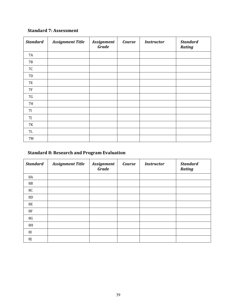## **Standard 7: Assessment**

| <b>Standard</b> | <b>Assignment Title</b> | <b>Assignment</b><br><b>Grade</b> | <b>Course</b> | <b>Instructor</b> | <b>Standard</b><br><b>Rating</b> |
|-----------------|-------------------------|-----------------------------------|---------------|-------------------|----------------------------------|
| 7A              |                         |                                   |               |                   |                                  |
| <b>7B</b>       |                         |                                   |               |                   |                                  |
| 7C              |                         |                                   |               |                   |                                  |
| 7D              |                         |                                   |               |                   |                                  |
| 7E              |                         |                                   |               |                   |                                  |
| <b>7F</b>       |                         |                                   |               |                   |                                  |
| 7G              |                         |                                   |               |                   |                                  |
| 7H              |                         |                                   |               |                   |                                  |
| 7 <sub>I</sub>  |                         |                                   |               |                   |                                  |
| 7J              |                         |                                   |               |                   |                                  |
| 7K              |                         |                                   |               |                   |                                  |
| 7L              |                         |                                   |               |                   |                                  |
| 7M              |                         |                                   |               |                   |                                  |

## **Standard 8: Research and Program Evaluation**

| <b>Standard</b> | <b>Assignment Title</b> | <b>Assignment</b><br><b>Grade</b> | <b>Course</b> | <b>Instructor</b> | <b>Standard</b><br><b>Rating</b> |
|-----------------|-------------------------|-----------------------------------|---------------|-------------------|----------------------------------|
| 8A              |                         |                                   |               |                   |                                  |
| <b>8B</b>       |                         |                                   |               |                   |                                  |
| 8C              |                         |                                   |               |                   |                                  |
| $8\mathrm{D}$   |                         |                                   |               |                   |                                  |
| <b>8E</b>       |                         |                                   |               |                   |                                  |
| 8F              |                         |                                   |               |                   |                                  |
| 8G              |                         |                                   |               |                   |                                  |
| 8H              |                         |                                   |               |                   |                                  |
| 8I              |                         |                                   |               |                   |                                  |
| 8J              |                         |                                   |               |                   |                                  |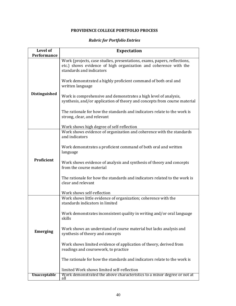## **PROVIDENCE COLLEGE PORTFOLIO PROCESS**

## *Rubric for Portfolio Entries*

<span id="page-39-1"></span><span id="page-39-0"></span>

| Level of            | <b>Expectation</b>                                                                                                                                                                                                                                                                                                                                                                                            |  |  |  |  |
|---------------------|---------------------------------------------------------------------------------------------------------------------------------------------------------------------------------------------------------------------------------------------------------------------------------------------------------------------------------------------------------------------------------------------------------------|--|--|--|--|
| Performance         |                                                                                                                                                                                                                                                                                                                                                                                                               |  |  |  |  |
|                     | Work (projects, case studies, presentations, exams, papers, reflections,<br>etc.) shows evidence of high organization and coherence with the<br>standards and indicators                                                                                                                                                                                                                                      |  |  |  |  |
|                     | Work demonstrated a highly proficient command of both oral and<br>written language                                                                                                                                                                                                                                                                                                                            |  |  |  |  |
| Distinguished       | Work is comprehensive and demonstrates a high level of analysis,<br>synthesis, and/or application of theory and concepts from course material                                                                                                                                                                                                                                                                 |  |  |  |  |
|                     | The rationale for how the standards and indicators relate to the work is<br>strong, clear, and relevant                                                                                                                                                                                                                                                                                                       |  |  |  |  |
|                     | Work shows high degree of self-reflection                                                                                                                                                                                                                                                                                                                                                                     |  |  |  |  |
| Proficient          | Work shows evidence of organization and coherence with the standards<br>and indicators<br>Work demonstrates a proficient command of both oral and written<br>language                                                                                                                                                                                                                                         |  |  |  |  |
|                     | Work shows evidence of analysis and synthesis of theory and concepts<br>from the course material<br>The rationale for how the standards and indicators related to the work is<br>clear and relevant                                                                                                                                                                                                           |  |  |  |  |
|                     | Work shows self-reflection                                                                                                                                                                                                                                                                                                                                                                                    |  |  |  |  |
| <b>Emerging</b>     | Work shows little evidence of organization; coherence with the<br>standards indicators in limited<br>Work demonstrates inconsistent quality in writing and/or oral language<br>skills<br>Work shows an understand of course material but lacks analysis and<br>synthesis of theory and concepts<br>Work shows limited evidence of application of theory, derived from<br>readings and coursework, to practice |  |  |  |  |
|                     | The rationale for how the standards and indicators relate to the work is                                                                                                                                                                                                                                                                                                                                      |  |  |  |  |
| <b>Unacceptable</b> | limited Work shows limited self-reflection<br>Work demonstrated the above characteristics to a minor degree or not at<br>all                                                                                                                                                                                                                                                                                  |  |  |  |  |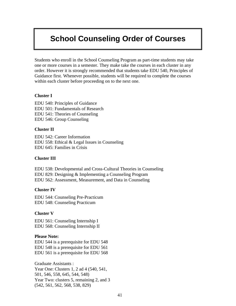## <span id="page-40-0"></span>**[School Counseling Order of Courses](#page-41-1)**

Students who enroll in the School Counseling Program as part-time students may take one or more courses in a semester. They make take the courses in each cluster in any order. However it is strongly recommended that students take EDU 540, Principles of Guidance first. Whenever possible, students will be required to complete the courses within each cluster before proceeding on to the next one.

### **Cluster I**

EDU 540: Principles of Guidance EDU 501: Fundamentals of Research EDU 541: Theories of Counseling EDU 546: Group Counseling

### **Cluster II**

EDU 542: Career Information EDU 558: Ethical & Legal Issues in Counseling EDU 645: Families in Crisis

## **Cluster III**

EDU 538: Developmental and Cross-Cultural Theories in Counseling EDU 829: Designing & Implementing a Counseling Program EDU 562: Assessment, Measurement, and Data in Counseling

### **Cluster IV**

EDU 544: Counseling Pre-Practicum EDU 548: Counseling Practicum

## **Cluster V**

EDU 561: Counseling Internship I EDU 568: Counseling Internship II

### **Please Note:**

EDU 544 is a prerequisite for EDU 548 EDU 548 is a prerequisite for EDU 561 EDU 561 is a prerequisite for EDU 568

Graduate Assistants : Year One: Clusters 1, 2 ad 4 (540, 541, 501, 546, 558, 645, 544, 548) Year Two: clusters 5, remaining 2, and 3 (542, 561, 562, 568, 538, 829)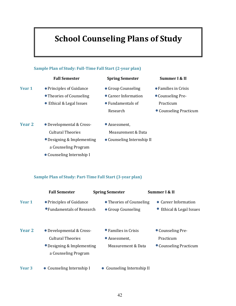# **School Counseling Plans of Study**

<span id="page-41-1"></span><span id="page-41-0"></span>

## **Sample Plan of Study: Part-Time Fall Start (3-year plan)**

|                   | <b>Fall Semester</b>                                                                                       | <b>Spring Semester</b>                                      | Summer I & II                                            |
|-------------------|------------------------------------------------------------------------------------------------------------|-------------------------------------------------------------|----------------------------------------------------------|
| Year 1            | • Principles of Guidance<br>• Fundamentals of Research                                                     | • Theories of Counseling<br>• Group Counseling              | • Career Information<br>• Ethical & Legal Issues         |
| Year 2            | • Developmental & Cross-<br><b>Cultural Theories</b><br>• Designing & Implementing<br>a Counseling Program | • Families in Crisis<br>• Assessment,<br>Measurement & Data | • Counseling Pre-<br>Practicum<br>• Counseling Practicum |
| Year <sub>3</sub> | • Counseling Internship I                                                                                  | • Counseling Internship II                                  |                                                          |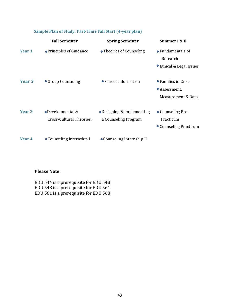|                   | <b>Fall Semester</b>                          | <b>Spring Semester</b>                            | Summer I & II                                               |
|-------------------|-----------------------------------------------|---------------------------------------------------|-------------------------------------------------------------|
| Year 1            | • Principles of Guidance                      | • Theories of Counseling                          | • Fundamentals of<br>Research<br>● Ethical & Legal Issues   |
| Year 2            | • Group Counseling                            | • Career Information                              | • Families in Crisis<br>• Assessment,<br>Measurement & Data |
| Year <sub>3</sub> | • Developmental &<br>Cross-Cultural Theories. | •Designing & Implementing<br>a Counseling Program | • Counseling Pre-<br>Practicum<br>• Counseling Practicum    |
| Year 4            | • Counseling Internship I                     | • Counseling Internship II                        |                                                             |

## **Sample Plan of Study: Part-Time Fall Start (4-year plan)**

## **Please Note:**

EDU 544 is a prerequisite for EDU 548 EDU 548 is a prerequisite for EDU 561 EDU 561 is a prerequisite for EDU 568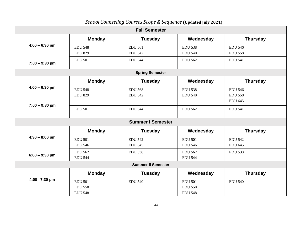<span id="page-43-0"></span>

| <b>Fall Semester</b>      |                |                          |                |                 |  |  |
|---------------------------|----------------|--------------------------|----------------|-----------------|--|--|
|                           | <b>Monday</b>  | <b>Tuesday</b>           | Wednesday      | <b>Thursday</b> |  |  |
| $4:00 - 6:30$ pm          | <b>EDU 548</b> | <b>EDU 561</b>           | <b>EDU 538</b> | <b>EDU 546</b>  |  |  |
|                           | <b>EDU 829</b> | <b>EDU 542</b>           | <b>EDU 540</b> | <b>EDU 558</b>  |  |  |
| $7:00 - 9:30$ pm          | <b>EDU 501</b> | <b>EDU 544</b>           | <b>EDU 562</b> | <b>EDU 541</b>  |  |  |
|                           |                | <b>Spring Semester</b>   |                |                 |  |  |
|                           | <b>Monday</b>  | <b>Tuesday</b>           | Wednesday      | <b>Thursday</b> |  |  |
| $4:00 - 6:30$ pm          | <b>EDU 548</b> | <b>EDU 568</b>           | <b>EDU 538</b> | <b>EDU 546</b>  |  |  |
|                           | <b>EDU 829</b> | <b>EDU 542</b>           | <b>EDU 540</b> | <b>EDU 558</b>  |  |  |
| $7:00 - 9:30$ pm          |                |                          |                | <b>EDU 645</b>  |  |  |
|                           | <b>EDU 501</b> | <b>EDU 544</b>           | <b>EDU 562</b> | <b>EDU 541</b>  |  |  |
|                           |                |                          |                |                 |  |  |
|                           |                | <b>Summer I Semester</b> |                |                 |  |  |
|                           | <b>Monday</b>  | <b>Tuesday</b>           | Wednesday      | <b>Thursday</b> |  |  |
| $4:30 - 8:00$ pm          | <b>EDU 501</b> | <b>EDU 542</b>           | <b>EDU 501</b> | <b>EDU 542</b>  |  |  |
|                           | <b>EDU 546</b> | <b>EDU 645</b>           | <b>EDU 546</b> | <b>EDU 645</b>  |  |  |
| $6:00 - 9:30$ pm          | <b>EDU 562</b> | <b>EDU 538</b>           | <b>EDU 562</b> | <b>EDU 538</b>  |  |  |
|                           | <b>EDU 544</b> |                          | <b>EDU 544</b> |                 |  |  |
| <b>Summer II Semester</b> |                |                          |                |                 |  |  |
|                           | <b>Monday</b>  | <b>Tuesday</b>           | Wednesday      | <b>Thursday</b> |  |  |
| $4:00 - 7:30$ pm          | <b>EDU 501</b> | <b>EDU 540</b>           | <b>EDU 501</b> | <b>EDU 540</b>  |  |  |
|                           | <b>EDU 558</b> |                          | <b>EDU 558</b> |                 |  |  |
|                           | <b>EDU 548</b> |                          | <b>EDU 548</b> |                 |  |  |

## *School Counseling Courses Scope & Sequence* **(Updated July 2021)**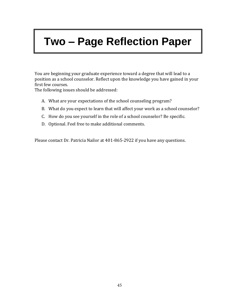# **[Tw](#page-44-0)o – [Page Reflection Paper](#page-44-0)**

<span id="page-44-0"></span>You are beginning your graduate experience toward a degree that will lead to a position as a school counselor. Reflect upon the knowledge you have gained in your first few courses.

The following issues should be addressed:

- A. What are your expectations of the school counseling program?
- B. What do you expect to learn that will affect your work as a school counselor?
- C. How do you see yourself in the role of a school counselor? Be specific.
- D. Optional. Feel free to make additional comments.

Please contact Dr. Patricia Nailor at 401-865-2922 if you have any questions.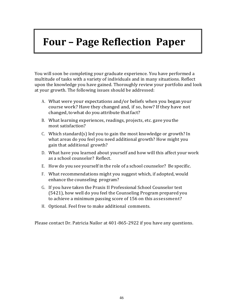# <span id="page-45-0"></span>**Four – Page [Reflection](#page-45-1) Paper**

<span id="page-45-1"></span>You will soon be completing your graduate experience. You have performed a multitude of tasks with a variety of individuals and in many situations. Reflect upon the knowledge you have gained. Thoroughly review your portfolio and look at your growth. The following issues should be addressed:

- A. What were your expectations and/or beliefs when you began your course work? Have they changed and, if so, how? If they have not changed, to what do you attribute that fact?
- B. What learning experiences, readings, projects, etc. gave youthe most satisfaction?
- C. Which standard(s) led you to gain the most knowledge or growth? In what areas do you feel you need additional growth? How might you gain that additional growth?
- D. What have you learned about yourself and how will this affect your work as a school counselor? Reflect.
- E. How do you see yourself in the role of a school counselor? Be specific.
- F. What recommendations might you suggest which, if adopted, would enhance the counseling program?
- G. If you have taken the Praxis II Professional School Counselor test (5421), how well do you feel the Counseling Program prepared you to achieve a minimum passing score of 156 on this assessment?
- H. Optional. Feel free to make additional comments.

Please contact Dr. Patricia Nailor at 401-865-2922 if you have any questions.